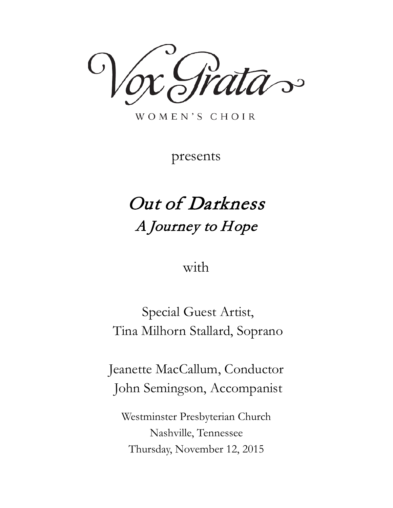

WOMEN'S CHOIR

presents

# Out of Darkness A Journey to Hope

with

Special Guest Artist, Tina Milhorn Stallard, Soprano

Jeanette MacCallum, Conductor John Semingson, Accompanist

Westminster Presbyterian Church Nashville, Tennessee Thursday, November 12, 2015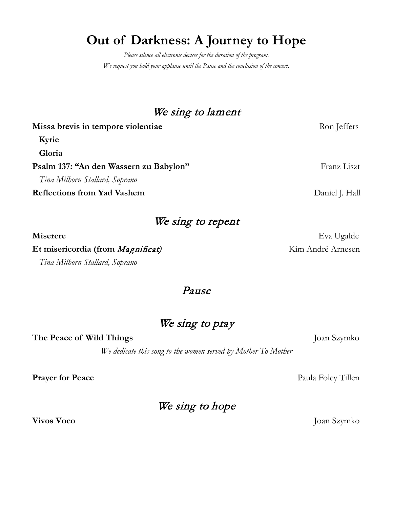## **Out of Darkness: A Journey to Hope**

*Please silence all electronic devices for the duration of the program. We request you hold your applause until the Pause and the conclusion of the concert.*

## We sing to lament

| Missa brevis in tempore violentiae     | Ron Jeffers    |
|----------------------------------------|----------------|
| Kyrie                                  |                |
| Gloria                                 |                |
| Psalm 137: "An den Wassern zu Babylon" | Franz Liszt    |
| Tina Milhorn Stallard, Soprano         |                |
| <b>Reflections from Yad Vashem</b>     | Daniel J. Hall |
|                                        |                |

|  |  |  | We sing to repent |
|--|--|--|-------------------|
|--|--|--|-------------------|

Et misericordia (from *Magnificat)* Kim André Arnesen *Tina Milhorn Stallard, Soprano*

## Pause

## We sing to pray

**The Peace of Wild Things** Joan Szymko

*We dedicate this song to the women served by Mother To Mother*

**Prayer for Peace** Paula Foley Tillen

## We sing to hope

**Miserere** Eva Ugalde

**Vivos Voco** Joan Szymko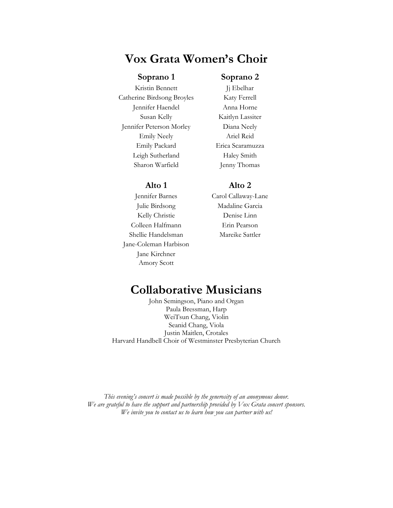## **Vox Grata Women's Choir**

### **Soprano 1 Soprano 2**

Kristin Bennett Jj Ebelhar Catherine Birdsong Broyles Katy Ferrell Jennifer Haendel Anna Horne Susan Kelly Kaitlyn Lassiter Jennifer Peterson Morley Diana Neely Emily Neely Ariel Reid Emily Packard Erica Scaramuzza Leigh Sutherland Haley Smith Sharon Warfield Jenny Thomas

Julie Birdsong Madaline Garcia Kelly Christie Denise Linn Colleen Halfmann Erin Pearson Shellie Handelsman Mareike Sattler Jane-Coleman Harbison Jane Kirchner Amory Scott

#### **Alto 1 Alto 2**

Jennifer Barnes Carol Callaway-Lane

## **Collaborative Musicians**

John Semingson, Piano and Organ Paula Bressman, Harp WeiTsun Chang, Violin Seanid Chang, Viola Justin Maitlen, Crotales Harvard Handbell Choir of Westminster Presbyterian Church

*This evening's concert is made possible by the generosity of an anonymous donor. We are grateful to have the support and partnership provided by Vox Grata concert sponsors. We invite you to contact us to learn how you can partner with us!*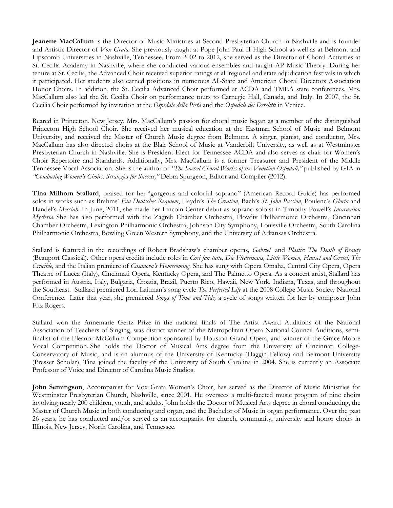**Jeanette MacCallum** is the Director of Music Ministries at Second Presbyterian Church in Nashville and is founder and Artistic Director of *Vox Grata.* She previously taught at Pope John Paul II High School as well as at Belmont and Lipscomb Universities in Nashville, Tennessee. From 2002 to 2012, she served as the Director of Choral Activities at St. Cecilia Academy in Nashville, where she conducted various ensembles and taught AP Music Theory. During her tenure at St. Cecilia, the Advanced Choir received superior ratings at all regional and state adjudication festivals in which it participated. Her students also earned positions in numerous All-State and American Choral Directors Association Honor Choirs. In addition, the St. Cecilia Advanced Choir performed at ACDA and TMEA state conferences. Mrs. MacCallum also led the St. Cecilia Choir on performance tours to Carnegie Hall, Canada, and Italy. In 2007, the St. Cecilia Choir performed by invitation at the *Ospedale della Pietà* and the *Ospedale dei Derelitti* in Venice.

Reared in Princeton, New Jersey, Mrs. MacCallum's passion for choral music began as a member of the distinguished Princeton High School Choir. She received her musical education at the Eastman School of Music and Belmont University, and received the Master of Church Music degree from Belmont. A singer, pianist, and conductor, Mrs. MacCallum has also directed choirs at the Blair School of Music at Vanderbilt University, as well as at Westminster Presbyterian Church in Nashville. She is President-Elect for Tennessee ACDA and also serves as chair for Women's Choir Repertoire and Standards. Additionally, Mrs. MacCallum is a former Treasurer and President of the Middle Tennessee Vocal Association. She is the author of *"The Sacred Choral Works of the Venetian Ospedali,"* published by GIA in *"Conducting Women's Choirs: Strategies for Success,"* Debra Spurgeon, Editor and Compiler (2012).

**Tina Milhorn Stallard**, praised for her "gorgeous and colorful soprano" (American Record Guide) has performed solos in works such as Brahms' *Ein Deutsches Requiem*, Haydn's *The Creation*, Bach's *St. John Passion*, Poulenc's *Gloria* and Handel's *Messiah*. In June, 2011, she made her Lincoln Center debut as soprano soloist in Timothy Powell's *Incarnation Mysteria*. She has also performed with the Zagreb Chamber Orchestra, Plovdiv Philharmonic Orchestra, Cincinnati Chamber Orchestra, Lexington Philharmonic Orchestra, Johnson City Symphony, Louisville Orchestra, South Carolina Philharmonic Orchestra, Bowling Green Western Symphony, and the University of Arkansas Orchestra.

Stallard is featured in the recordings of Robert Bradshaw's chamber operas*, Gabriel* and *Plastic: The Death of Beauty* (Beauport Classical). Other opera credits include roles in *Cosi fan tutte*, *Die Fledermaus, Little Women, Hansel and Gretel, The Crucible,* and the Italian premiere of *Casanova's Homecoming*. She has sung with Opera Omaha, Central City Opera, Opera Theatre of Lucca (Italy), Cincinnati Opera, Kentucky Opera, and The Palmetto Opera. As a concert artist, Stallard has performed in Austria, Italy, Bulgaria, Croatia, Brazil, Puerto Rico, Hawaii, New York, Indiana, Texas, and throughout the Southeast. Stallard premiered Lori Laitman's song cycle *The Perfected Life* at the 2008 College Music Society National Conference. Later that year, she premiered *Songs of Time and Tide,* a cycle of songs written for her by composer John Fitz Rogers.

Stallard won the Annemarie Gertz Prize in the national finals of The Artist Award Auditions of the National Association of Teachers of Singing, was district winner of the Metropolitan Opera National Council Auditions, semifinalist of the Eleanor McCollum Competition sponsored by Houston Grand Opera, and winner of the Grace Moore Vocal Competition. She holds the Doctor of Musical Arts degree from the University of Cincinnati College-Conservatory of Music, and is an alumnus of the University of Kentucky (Haggin Fellow) and Belmont University (Presser Scholar). Tina joined the faculty of the University of South Carolina in 2004. She is currently an Associate Professor of Voice and Director of Carolina Music Studios.

**John Semingson**, Accompanist for Vox Grata Women's Choir, has served as the Director of Music Ministries for Westminster Presbyterian Church, Nashville, since 2001. He oversees a multi-faceted music program of nine choirs involving nearly 200 children, youth, and adults. John holds the Doctor of Musical Arts degree in choral conducting, the Master of Church Music in both conducting and organ, and the Bachelor of Music in organ performance. Over the past 26 years, he has conducted and/or served as an accompanist for church, community, university and honor choirs in Illinois, New Jersey, North Carolina, and Tennessee.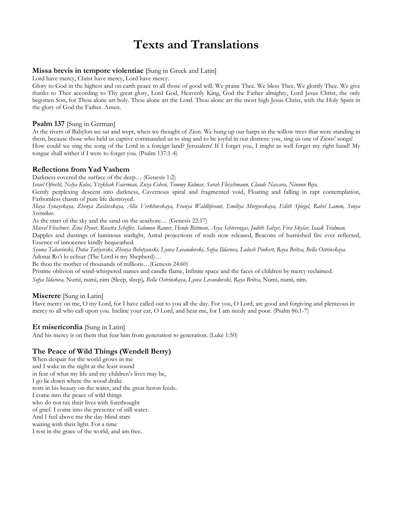## **Texts and Translations**

#### **Missa brevis in tempore violentiae** [Sung in Greek and Latin]

Lord have mercy, Christ have mercy, Lord have mercy.

Glory to God in the highest and on earth peace to all those of good will. We praise Thee. We bless Thee. We glorify Thee. We give thanks to Thee according to Thy great glory, Lord God, Heavenly King, God the Father almighty, Lord Jesus Christ, the only begotten Son, for Thou alone art holy. Thou alone art the Lord. Thou alone art the most high Jesus Christ, with the Holy Spirit in the glory of God the Father. Amen.

#### **Psalm 137** [Sung in German]

At the rivers of Babylon we sat and wept, when we thought of Zion. We hung up our harps in the willow trees that were standing in them, because those who held us captive commanded us to sing and to be joyful in our distress: you, sing us one of Zions' songs! How could we sing the song of the Lord in a foreign land? Jerusalem! If I forget you, I might as well forget my right hand! My tongue shall wither if I were to forget you. (Psalm 137:1-4)

### **Reflections from Yad Vashem**

Darkness covered the surface of the deep… (Genesis 1:2)

*Israel Ofrecht, Nelya Kolos, Ytzkhak Faierman, Zuza Cohen, Tommy Kolmar, Sarah Fleischmann, Claude Naxara, Ninnon Beja.*

Gently perplexing descent into darkness, Cavernous spiral and fragmented void, Floating and falling in rapt contemplation, Fathomless chasm of pure life destroyed.

*Maya Synayskaya, Zhenya Zaslavskaya, Alla Verkhovskaya, Franya Waldliferant, Emiliya Morgovskaya, Edith Spiegel, Rahel Lamm, Sonya Svetnikov.*

As the stars of the sky and the sand on the seashore… (Genesis 22:17)

*Marcel Fleschner, Zina Dyner, Rosetta Scheffer, Salomon Ramer, Hende Bittman, Asya Schterengas, Judith Salzer, Fira Skylar, Isaak Tridman.*

Dapples and dustings of luminous starlight, Astral projections of souls now released, Beacons of burnished fire ever reflected, Essence of innocence kindly bequeathed.

*Syoma Tabarinski, Dotia Tatiyevski, Zhenya Bolotyanski, Lyova Levandovski, Sofya Ildarova, Lulush Pinkert, Raya Britva, Bella Ostrinskaya.* Adonai Ro'i lo echsar (The Lord is my Shepherd)…

Be thou the mother of thousands of millions…(Genesis 24:60)

Pristine oblivion of wind-whispered names and candle flame, Infinite space and the faces of children by mercy reclaimed.

*Sofya Ildarova,* Numi, numi, nim (Sleep, sleep)*, Bella Ostrinskaya, Lyova Levandovski, Raya Britva,* Numi, numi, nim.

#### **Miserere** [Sung in Latin]

Have mercy on me, O my Lord, for I have called out to you all the day. For you, O Lord, are good and forgiving and plenteous in mercy to all who call upon you. Incline your ear, O Lord, and hear me, for I am needy and poor. (Psalm 86:1-7)

### **Et misericordia** [Sung in Latin]

And his mercy is on them that fear him from generation to generation. (Luke 1:50)

### **The Peace of Wild Things (Wendell Berry)**

When despair for the world grows in me and I wake in the night at the least sound in fear of what my life and my children's lives may be, I go lie down where the wood drake rests in his beauty on the water, and the great heron feeds. I come into the peace of wild things who do not tax their lives with forethought of grief. I come into the presence of still water. And I feel above me the day-blind stars waiting with their light. For a time I rest in the grace of the world, and am free.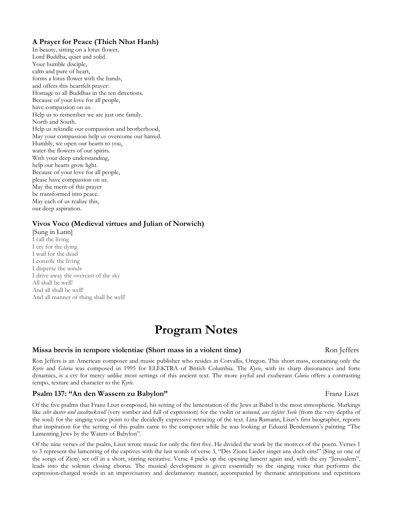### **A Prayer for Peace (Thich Nhat Hanh)**

In beauty, sitting on a lotus flower, Lord Buddha, quiet and solid. Your humble disciple, calm and pure of heart, forms a lotus flower with the hands, and offers this heartfelt prayer: Homage to all Buddhas in the ten directions. Because of your love for all people, have compassion on us. Help us to remember we are just one family. North and South. Help us rekindle our compassion and brotherhood, May your compassion help us overcome our hatred. Humbly, we open our hearts to you, water the flowers of our spirits. With your deep understanding, help our hearts grow light. Because of your love for all people, please have compassion on us. May the merit of this prayer be transformed into peace. May each of us realize this, our deep aspiration.

#### **Vivos Voco (Medieval virtues and Julian of Norwich)**

[Sung in Latin] I call the living I cry for the dying I wail for the dead I console the living I disperse the winds I drive away the overcast of the sky All shall be well! And all shall be well! And all manner of thing shall be well!

## **Program Notes**

#### **Missa brevis in tempore violentiae (Short mass in a violent time)** Ron Jeffers

Ron Jeffers is an American composer and music publisher who resides in Corvallis, Oregon. This short mass, containing only the *Kyrie* and *Gloria* was composed in 1995 for ELEKTRA of British Columbia. The *Kyrie*, with its sharp dissonances and forte dynamics, is a cry for mercy unlike most settings of this ancient text. The more joyful and exuberant *Gloria* offers a contrasting tempo, texture and character to the *Kyrie.*

#### **Psalm 137: "An den Wassern zu Babylon" Franz Liszt** Franz Liszt

Of the five psalms that Franz Liszt composed, his setting of the lamentation of the Jews at Babel is the most atmospheric. Markings like *sehr duster und ausdrucksvoll* (very somber and full of expression) for the violin or *weinend, aus tiefster Seele* (from the very depths of the soul) for the singing voice point to the decidedly expressive retracing of the text. Lina Ramann, Liszt's first biographer, reports that inspiration for the setting of this psalm came to the composer while he was looking at Eduard Bendemann's painting "The Lamenting Jews by the Waters of Babylon".

Of the nine verses of the psalm, Liszt wrote music for only the first five. He divided the work by the motives of the poem. Verses 1 to 3 represent the lamenting of the captives with the last words of verse 3, "Des Zions Lieder singet uns doch eins!" (Sing us one of the songs of Zion) set off in a short, stirring recitative. Verse 4 picks up the opening lament again and, with the cry "Jerusalem", leads into the solemn closing chorus. The musical development is given essentially to the singing voice that performs the expression-charged words in an improvisatory and declamatory manner, accompanied by thematic anticipations and repetitions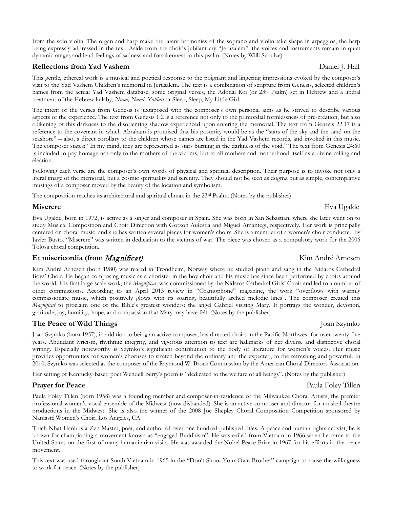from the solo violin. The organ and harp make the latent harmonies of the soprano and violin take shape in arpeggios, the harp being expressly addressed in the text. Aside from the choir's jubilant cry "Jerusalem", the voices and instruments remain in quiet dynamic ranges and lend feelings of sadness and forsakenness to this psalm. (Notes by Willi Schulze)

#### **Reflections from Yad Vashem**  Daniel J. Hall

This gentle, ethereal work is a musical and poetical response to the poignant and lingering impressions evoked by the composer's visit to the Yad Vashem Children's memorial in Jerusalem. The text is a combination of scripture from Genesis, selected children's names from the actual Yad Vashem database, some original verses, the Adonai Roi (or 23<sup>rd</sup> Psalm) set in Hebrew and a liberal treatment of the Hebrew lullaby, *Numi, Numi, Yaldati* or Sleep, Sleep, My Little Girl.

The intent of the verses from Genesis is juxtaposed with the composer's own personal aims as he strived to describe various aspects of the experience. The text from Genesis 1:2 is a reference not only to the primordial formlessness of pre-creation, but also a likening of this darkness to the disorienting shadow experienced upon entering the memorial. The text from Genesis 22:17 is a reference to the covenant in which Abraham is promised that his posterity would be as the "stars of the sky and the sand on the seashore" – also, a direct corollary to the children whose names are listed in the Yad Vashem records, and invoked in this music. The composer states: "In my mind, they are represented as stars burning in the darkness of the void." The text from Genesis 24:60 is included to pay homage not only to the mothers of the victims, but to all mothers and motherhood itself as a divine calling and election.

Following each verse are the composer's own words of physical and spiritual description. Their purpose is to invoke not only a literal image of the memorial, but a cosmic spirituality and serenity. They should not be seen as dogma but as simple, contemplative musings of a composer moved by the beauty of the location and symbolism.

The composition reaches its architectural and spiritual climax in the  $23<sup>rd</sup>$  Psalm. (Notes by the publisher)

### **Miserere** Eva Ugalde

Eva Ugalde, born in 1972, is active as a singer and composer in Spain. She was born in San Sebastian, where she later went on to study Musical Composition and Choir Direction with Gotzon Aulestia and Miguel Amantegi, respectively. Her work is principally centered on choral music, and she has written several pieces for women's choirs. She is a member of a women's choir conducted by Javier Busto. "Miserere" was written in dedication to the victims of war. The piece was chosen as a compulsory work for the 2006 Tolosa choral competition.

### **Et misericordia (from** *Magnificat***)** Kim André Arnesen

Kim André Arnesen (born 1980) was reared in Trondheim, Norway where he studied piano and sang in the Nidaros Cathedral Boys' Choir. He began composing music as a chorister in the boy choir and his music has since been performed by choirs around the world. His first large scale work, the *Magnificat*, was commissioned by the Nidaros Cathedral Girls' Choir and led to a number of other commissions. According to an April 2015 review in "Gramophone" magazine, the work "overflows with warmly compassionate music, which positively glows with its soaring, beautifully arched melodic lines". The composer created this *Magnificat* to proclaim one of the Bible's greatest wonders: the angel Gabriel visiting Mary. It portrays the wonder, devotion, gratitude, joy, humility, hope, and compassion that Mary may have felt. (Notes by the publisher)

### **The Peace of Wild Things Joan Szymko** Joan Szymko

Joan Szymko (born 1957), in addition to being an active composer, has directed choirs in the Pacific Northwest for over twenty-five years. Abundant lyricism, rhythmic integrity, and vigorous attention to text are hallmarks of her diverse and distinctive choral writing. Especially noteworthy is Szymko's significant contribution to the body of literature for women's voices. Her music provides opportunities for women's choruses to stretch beyond the ordinary and the expected, to the refreshing and powerful. In 2010, Szymko was selected as the composer of the Raymond W. Brock Commission by the American Choral Directors Association.

Her setting of Kentucky-based poet Wendell Berry's poem is "dedicated to the welfare of all beings". (Notes by the publisher)

Paula Foley Tillen (born 1958) was a founding member and composer-in-residence of the Milwaukee Choral Artists, the premier professional women's vocal ensemble of the Midwest (now disbanded). She is an active composer and director for musical theatre productions in the Midwest. She is also the winner of the 2008 Joe Shepley Choral Composition Competition sponsored by Namasté Women's Choir, Los Angeles, CA.

Thich Nhat Hanh is a Zen Master, poet, and author of over one hundred published titles. A peace and human rights activist, he is known for championing a movement known as "engaged Buddhism". He was exiled from Vietnam in 1966 when he came to the United States on the first of many humanitarian visits. He was awarded the Nobel Peace Prize in 1967 for his efforts in the peace movement.

This text was used throughout South Vietnam in 1965 in the "Don't Shoot Your Own Brother" campaign to rouse the willingness to work for peace. (Notes by the publisher)

### **Prayer for Peace** Paula Foley Tillen